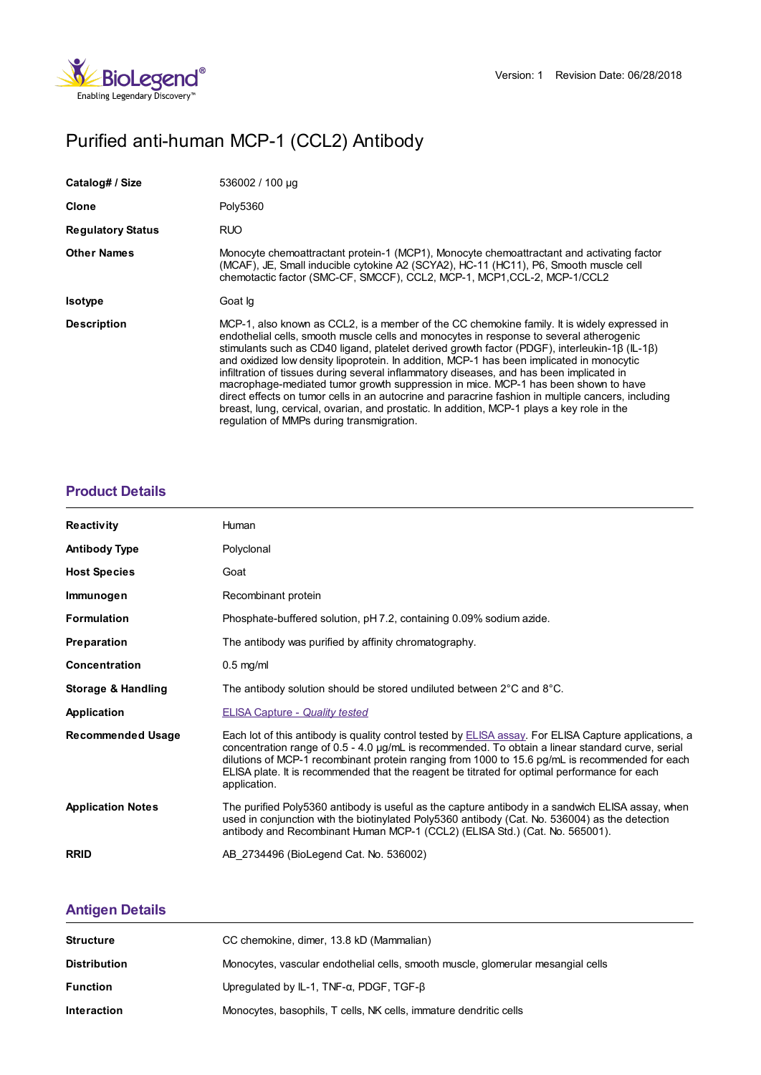

# Purified anti-human MCP-1 (CCL2) Antibody

| Catalog# / Size          | 536002 / 100 µg                                                                                                                                                                                                                                                                                                                                                                                                                                                                                                                                                                                                                                                                                                                                                                                                          |
|--------------------------|--------------------------------------------------------------------------------------------------------------------------------------------------------------------------------------------------------------------------------------------------------------------------------------------------------------------------------------------------------------------------------------------------------------------------------------------------------------------------------------------------------------------------------------------------------------------------------------------------------------------------------------------------------------------------------------------------------------------------------------------------------------------------------------------------------------------------|
| <b>Clone</b>             | Poly5360                                                                                                                                                                                                                                                                                                                                                                                                                                                                                                                                                                                                                                                                                                                                                                                                                 |
| <b>Regulatory Status</b> | <b>RUO</b>                                                                                                                                                                                                                                                                                                                                                                                                                                                                                                                                                                                                                                                                                                                                                                                                               |
| <b>Other Names</b>       | Monocyte chemoattractant protein-1 (MCP1), Monocyte chemoattractant and activating factor<br>(MCAF), JE, Small inducible cytokine A2 (SCYA2), HC-11 (HC11), P6, Smooth muscle cell<br>chemotactic factor (SMC-CF, SMCCF), CCL2, MCP-1, MCP1, CCL-2, MCP-1/CCL2                                                                                                                                                                                                                                                                                                                                                                                                                                                                                                                                                           |
| <b>Isotype</b>           | Goat Ig                                                                                                                                                                                                                                                                                                                                                                                                                                                                                                                                                                                                                                                                                                                                                                                                                  |
| <b>Description</b>       | MCP-1, also known as CCL2, is a member of the CC chemokine family. It is widely expressed in<br>endothelial cells, smooth muscle cells and monocytes in response to several atherogenic<br>stimulants such as CD40 ligand, platelet derived growth factor (PDGF), interleukin-1β (IL-1β)<br>and oxidized low density lipoprotein. In addition, MCP-1 has been implicated in monocytic<br>infiltration of tissues during several inflammatory diseases, and has been implicated in<br>macrophage-mediated tumor growth suppression in mice. MCP-1 has been shown to have<br>direct effects on tumor cells in an autocrine and paracrine fashion in multiple cancers, including<br>breast, lung, cervical, ovarian, and prostatic. In addition, MCP-1 plays a key role in the<br>regulation of MMPs during transmigration. |

#### **[Product](https://www.biolegend.com/en-gb/products/purified-anti-human-mcp-1-ccl2-antibody-16085?pdf=true&displayInline=true&leftRightMargin=15&topBottomMargin=15&filename=Purified anti-human MCP-1 (CCL2) Antibody.pdf#productDetails) Details**

| <b>Reactivity</b>        | Human                                                                                                                                                                                                                                                                                                                                                                                                                       |
|--------------------------|-----------------------------------------------------------------------------------------------------------------------------------------------------------------------------------------------------------------------------------------------------------------------------------------------------------------------------------------------------------------------------------------------------------------------------|
| <b>Antibody Type</b>     | Polyclonal                                                                                                                                                                                                                                                                                                                                                                                                                  |
| <b>Host Species</b>      | Goat                                                                                                                                                                                                                                                                                                                                                                                                                        |
| Immunogen                | Recombinant protein                                                                                                                                                                                                                                                                                                                                                                                                         |
| <b>Formulation</b>       | Phosphate-buffered solution, pH 7.2, containing 0.09% sodium azide.                                                                                                                                                                                                                                                                                                                                                         |
| <b>Preparation</b>       | The antibody was purified by affinity chromatography.                                                                                                                                                                                                                                                                                                                                                                       |
| <b>Concentration</b>     | $0.5$ mg/ml                                                                                                                                                                                                                                                                                                                                                                                                                 |
| Storage & Handling       | The antibody solution should be stored undiluted between $2^{\circ}$ C and $8^{\circ}$ C.                                                                                                                                                                                                                                                                                                                                   |
| <b>Application</b>       | <b>ELISA Capture - Quality tested</b>                                                                                                                                                                                                                                                                                                                                                                                       |
| <b>Recommended Usage</b> | Each lot of this antibody is quality control tested by ELISA assay. For ELISA Capture applications, a<br>concentration range of 0.5 - 4.0 µg/mL is recommended. To obtain a linear standard curve, serial<br>dilutions of MCP-1 recombinant protein ranging from 1000 to 15.6 pg/mL is recommended for each<br>ELISA plate. It is recommended that the reagent be titrated for optimal performance for each<br>application. |
| <b>Application Notes</b> | The purified Poly5360 antibody is useful as the capture antibody in a sandwich ELISA assay, when<br>used in conjunction with the biotinylated Poly5360 antibody (Cat. No. 536004) as the detection<br>antibody and Recombinant Human MCP-1 (CCL2) (ELISA Std.) (Cat. No. 565001).                                                                                                                                           |
| <b>RRID</b>              | AB 2734496 (BioLegend Cat. No. 536002)                                                                                                                                                                                                                                                                                                                                                                                      |

## **[Antigen](https://www.biolegend.com/en-gb/products/purified-anti-human-mcp-1-ccl2-antibody-16085?pdf=true&displayInline=true&leftRightMargin=15&topBottomMargin=15&filename=Purified anti-human MCP-1 (CCL2) Antibody.pdf#antigenDetails) Details**

| <b>Structure</b>    | CC chemokine, dimer, 13.8 kD (Mammalian)                                         |
|---------------------|----------------------------------------------------------------------------------|
| <b>Distribution</b> | Monocytes, vascular endothelial cells, smooth muscle, glomerular mesangial cells |
| <b>Function</b>     | Upregulated by $IL-1$ , TNF- $\alpha$ , PDGF, TGF- $\beta$                       |
| <b>Interaction</b>  | Monocytes, basophils, T cells, NK cells, immature dendritic cells                |